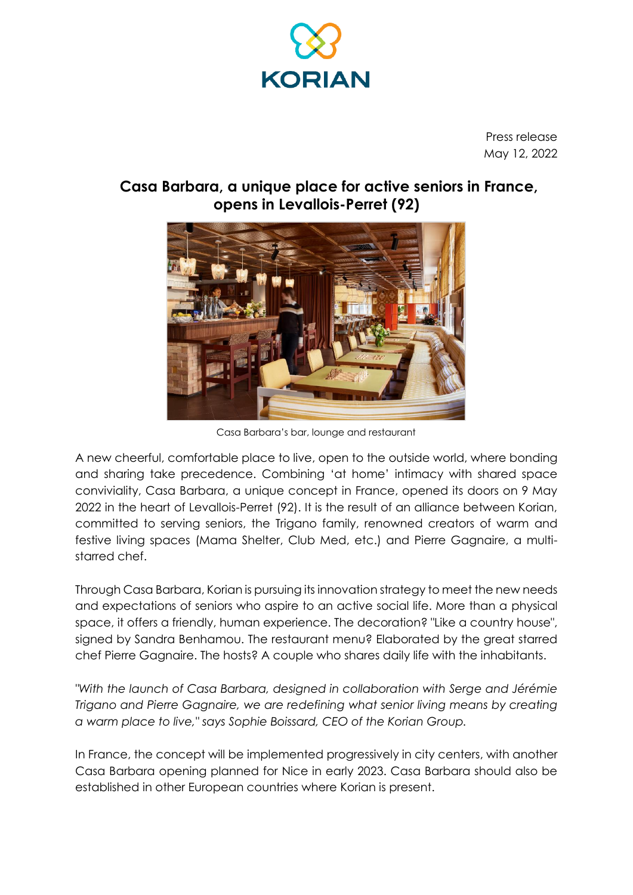

Press release May 12, 2022

# **Casa Barbara, a unique place for active seniors in France, opens in Levallois-Perret (92)**



Casa Barbara's bar, lounge and restaurant

A new cheerful, comfortable place to live, open to the outside world, where bonding and sharing take precedence. Combining 'at home' intimacy with shared space conviviality, Casa Barbara, a unique concept in France, opened its doors on 9 May 2022 in the heart of Levallois-Perret (92). It is the result of an alliance between Korian, committed to serving seniors, the Trigano family, renowned creators of warm and festive living spaces (Mama Shelter, Club Med, etc.) and Pierre Gagnaire, a multistarred chef.

Through Casa Barbara, Korian is pursuing its innovation strategy to meet the new needs and expectations of seniors who aspire to an active social life. More than a physical space, it offers a friendly, human experience. The decoration? "Like a country house", signed by Sandra Benhamou. The restaurant menu? Elaborated by the great starred chef Pierre Gagnaire. The hosts? A couple who shares daily life with the inhabitants.

*"With the launch of Casa Barbara, designed in collaboration with Serge and Jérémie Trigano and Pierre Gagnaire, we are redefining what senior living means by creating a warm place to live," says Sophie Boissard, CEO of the Korian Group.*

In France, the concept will be implemented progressively in city centers, with another Casa Barbara opening planned for Nice in early 2023. Casa Barbara should also be established in other European countries where Korian is present.